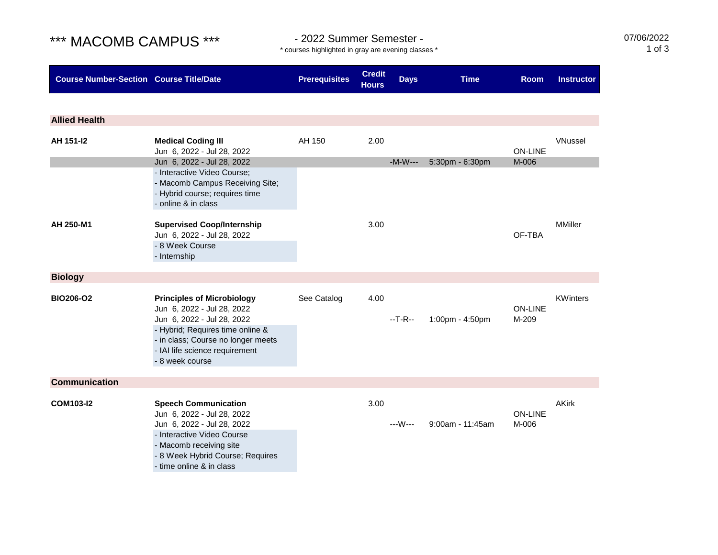## \*\*\* MACOMB CAMPUS \*\*\* - 2022 Summer Semester -

07/06/2022 1 of 3

\* courses highlighted in gray are evening classes \*

| <b>Course Number-Section Course Title/Date</b> |                                                                                                                                                                                                                              | <b>Prerequisites</b> | <b>Credit</b><br><b>Hours</b> | <b>Days</b> | <b>Time</b>         | <b>Room</b>             | <b>Instructor</b> |
|------------------------------------------------|------------------------------------------------------------------------------------------------------------------------------------------------------------------------------------------------------------------------------|----------------------|-------------------------------|-------------|---------------------|-------------------------|-------------------|
|                                                |                                                                                                                                                                                                                              |                      |                               |             |                     |                         |                   |
| <b>Allied Health</b>                           |                                                                                                                                                                                                                              |                      |                               |             |                     |                         |                   |
| AH 151-12                                      | <b>Medical Coding III</b><br>Jun 6, 2022 - Jul 28, 2022<br>Jun 6, 2022 - Jul 28, 2022                                                                                                                                        | AH 150               | 2.00                          | $-M-W---$   | 5:30pm - 6:30pm     | <b>ON-LINE</b><br>M-006 | <b>VNussel</b>    |
|                                                | - Interactive Video Course;<br>- Macomb Campus Receiving Site;<br>- Hybrid course; requires time<br>- online & in class                                                                                                      |                      |                               |             |                     |                         |                   |
| AH 250-M1                                      | <b>Supervised Coop/Internship</b><br>Jun 6, 2022 - Jul 28, 2022<br>- 8 Week Course<br>- Internship                                                                                                                           |                      | 3.00                          |             |                     | OF-TBA                  | <b>MMiller</b>    |
| <b>Biology</b>                                 |                                                                                                                                                                                                                              |                      |                               |             |                     |                         |                   |
| BIO206-O2                                      | <b>Principles of Microbiology</b><br>Jun 6, 2022 - Jul 28, 2022<br>Jun 6, 2022 - Jul 28, 2022<br>- Hybrid; Requires time online &<br>- in class; Course no longer meets<br>- IAI life science requirement<br>- 8 week course | See Catalog          | 4.00                          | $-T-R-$     | 1:00pm - 4:50pm     | <b>ON-LINE</b><br>M-209 | <b>KWinters</b>   |
| <b>Communication</b>                           |                                                                                                                                                                                                                              |                      |                               |             |                     |                         |                   |
| <b>COM103-I2</b>                               | <b>Speech Communication</b><br>Jun 6, 2022 - Jul 28, 2022<br>Jun 6, 2022 - Jul 28, 2022<br>- Interactive Video Course<br>- Macomb receiving site<br>- 8 Week Hybrid Course; Requires<br>- time online & in class             |                      | 3.00                          | ---W---     | $9:00$ am - 11:45am | <b>ON-LINE</b><br>M-006 | <b>AKirk</b>      |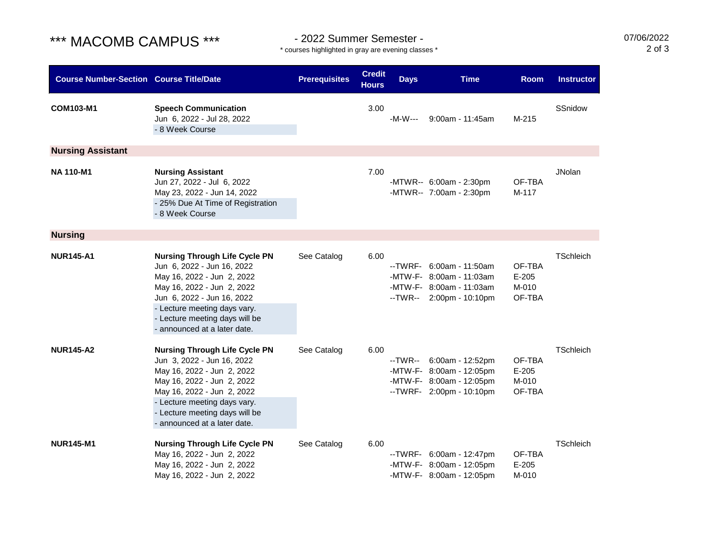# \*\*\* MACOMB CAMPUS \*\*\* - 2022 Summer Semester -

\* courses highlighted in gray are evening classes \*

07/06/2022 2 of 3

| <b>Course Number-Section Course Title/Date</b> |                                                                                                                                                                                                                                                                | <b>Prerequisites</b> | <b>Credit</b><br><b>Hours</b> | <b>Days</b> | <b>Time</b>                                                                                                   | <b>Room</b>                          | <b>Instructor</b> |
|------------------------------------------------|----------------------------------------------------------------------------------------------------------------------------------------------------------------------------------------------------------------------------------------------------------------|----------------------|-------------------------------|-------------|---------------------------------------------------------------------------------------------------------------|--------------------------------------|-------------------|
| COM103-M1                                      | <b>Speech Communication</b><br>Jun 6, 2022 - Jul 28, 2022<br>- 8 Week Course                                                                                                                                                                                   |                      | 3.00                          | -M-W---     | $9:00$ am - 11:45am                                                                                           | M-215                                | SSnidow           |
| <b>Nursing Assistant</b>                       |                                                                                                                                                                                                                                                                |                      |                               |             |                                                                                                               |                                      |                   |
| <b>NA 110-M1</b>                               | <b>Nursing Assistant</b><br>Jun 27, 2022 - Jul 6, 2022<br>May 23, 2022 - Jun 14, 2022<br>- 25% Due At Time of Registration<br>- 8 Week Course                                                                                                                  |                      | 7.00                          |             | -MTWR-- 6:00am - 2:30pm<br>-MTWR-- 7:00am - 2:30pm                                                            | OF-TBA<br>M-117                      | <b>JNolan</b>     |
| <b>Nursing</b>                                 |                                                                                                                                                                                                                                                                |                      |                               |             |                                                                                                               |                                      |                   |
| <b>NUR145-A1</b>                               | <b>Nursing Through Life Cycle PN</b><br>Jun 6, 2022 - Jun 16, 2022<br>May 16, 2022 - Jun 2, 2022<br>May 16, 2022 - Jun 2, 2022<br>Jun 6, 2022 - Jun 16, 2022<br>- Lecture meeting days vary.<br>- Lecture meeting days will be<br>- announced at a later date. | See Catalog          | 6.00                          |             | --TWRF- 6:00am - 11:50am<br>-MTW-F- 8:00am - 11:03am<br>-MTW-F- 8:00am - 11:03am<br>$-TWR - 2:00pm - 10:10pm$ | OF-TBA<br>$E-205$<br>M-010<br>OF-TBA | TSchleich         |
| <b>NUR145-A2</b>                               | <b>Nursing Through Life Cycle PN</b><br>Jun 3, 2022 - Jun 16, 2022<br>May 16, 2022 - Jun 2, 2022<br>May 16, 2022 - Jun 2, 2022<br>May 16, 2022 - Jun 2, 2022<br>- Lecture meeting days vary.<br>- Lecture meeting days will be<br>- announced at a later date. | See Catalog          | 6.00                          |             | --TWR-- 6:00am - 12:52pm<br>-MTW-F- 8:00am - 12:05pm<br>-MTW-F- 8:00am - 12:05pm<br>--TWRF- 2:00pm - 10:10pm  | OF-TBA<br>$E-205$<br>M-010<br>OF-TBA | TSchleich         |
| <b>NUR145-M1</b>                               | <b>Nursing Through Life Cycle PN</b><br>May 16, 2022 - Jun 2, 2022<br>May 16, 2022 - Jun 2, 2022<br>May 16, 2022 - Jun 2, 2022                                                                                                                                 | See Catalog          | 6.00                          |             | --TWRF- 6:00am - 12:47pm<br>-MTW-F- 8:00am - 12:05pm<br>-MTW-F- 8:00am - 12:05pm                              | OF-TBA<br>$E-205$<br>M-010           | TSchleich         |